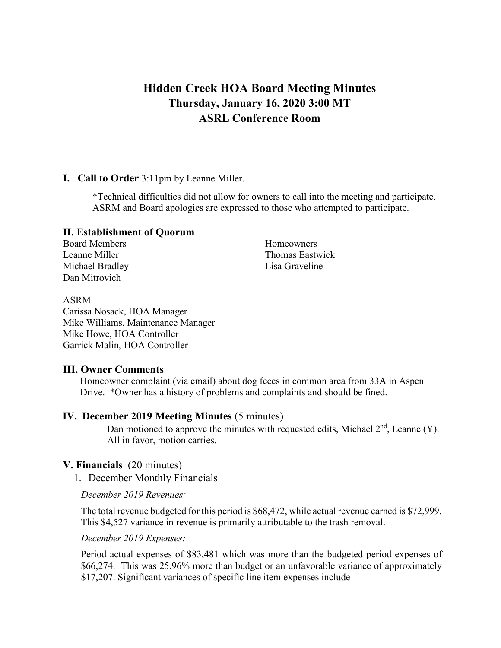# **Hidden Creek HOA Board Meeting Minutes Thursday, January 16, 2020 3:00 MT ASRL Conference Room**

#### **I. Call to Order** 3:11pm by Leanne Miller.

\*Technical difficulties did not allow for owners to call into the meeting and participate. ASRM and Board apologies are expressed to those who attempted to participate.

#### **II. Establishment of Quorum**

Board Members Homeowners Michael Bradley **Lisa Graveline** Dan Mitrovich

Leanne Miller Thomas Eastwick

#### ASRM

Carissa Nosack, HOA Manager Mike Williams, Maintenance Manager Mike Howe, HOA Controller Garrick Malin, HOA Controller

#### **III. Owner Comments**

Homeowner complaint (via email) about dog feces in common area from 33A in Aspen Drive. \*Owner has a history of problems and complaints and should be fined.

#### **IV. December 2019 Meeting Minutes** (5 minutes)

Dan motioned to approve the minutes with requested edits, Michael  $2<sup>nd</sup>$ , Leanne (Y). All in favor, motion carries.

#### **V. Financials** (20 minutes)

1. December Monthly Financials

*December 2019 Revenues:*

The total revenue budgeted for this period is \$68,472, while actual revenue earned is \$72,999. This \$4,527 variance in revenue is primarily attributable to the trash removal.

*December 2019 Expenses:*

Period actual expenses of \$83,481 which was more than the budgeted period expenses of \$66,274. This was 25.96% more than budget or an unfavorable variance of approximately \$17,207. Significant variances of specific line item expenses include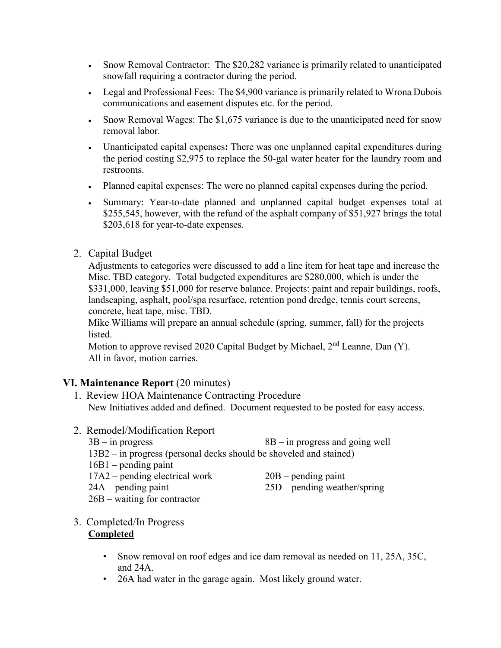- Snow Removal Contractor: The \$20,282 variance is primarily related to unanticipated snowfall requiring a contractor during the period.
- Legal and Professional Fees: The \$4,900 variance is primarily related to Wrona Dubois communications and easement disputes etc. for the period.
- Snow Removal Wages: The \$1,675 variance is due to the unanticipated need for snow removal labor.
- Unanticipated capital expenses**:** There was one unplanned capital expenditures during the period costing \$2,975 to replace the 50-gal water heater for the laundry room and restrooms.
- Planned capital expenses: The were no planned capital expenses during the period.
- Summary: Year-to-date planned and unplanned capital budget expenses total at \$255,545, however, with the refund of the asphalt company of \$51,927 brings the total \$203,618 for year-to-date expenses.
- 2. Capital Budget

Adjustments to categories were discussed to add a line item for heat tape and increase the Misc. TBD category. Total budgeted expenditures are \$280,000, which is under the \$331,000, leaving \$51,000 for reserve balance. Projects: paint and repair buildings, roofs, landscaping, asphalt, pool/spa resurface, retention pond dredge, tennis court screens, concrete, heat tape, misc. TBD.

Mike Williams will prepare an annual schedule (spring, summer, fall) for the projects listed.

Motion to approve revised 2020 Capital Budget by Michael,  $2<sup>nd</sup>$  Leanne, Dan (Y). All in favor, motion carries.

# **VI. Maintenance Report** (20 minutes)

- 1. Review HOA Maintenance Contracting Procedure New Initiatives added and defined. Document requested to be posted for easy access.
- 2. Remodel/Modification Report
	- $3B in progress$  8B in progress and going well
	- 13B2 in progress (personal decks should be shoveled and stained)
	- 16B1 pending paint
	- 17A2 pending electrical work 20B pending paint
	- 24A pending paint 25D pending weather/spring
- - 26B waiting for contractor
- 3. Completed/In Progress **Completed**
	- Snow removal on roof edges and ice dam removal as needed on 11, 25A, 35C, and 24A.
	- 26A had water in the garage again. Most likely ground water.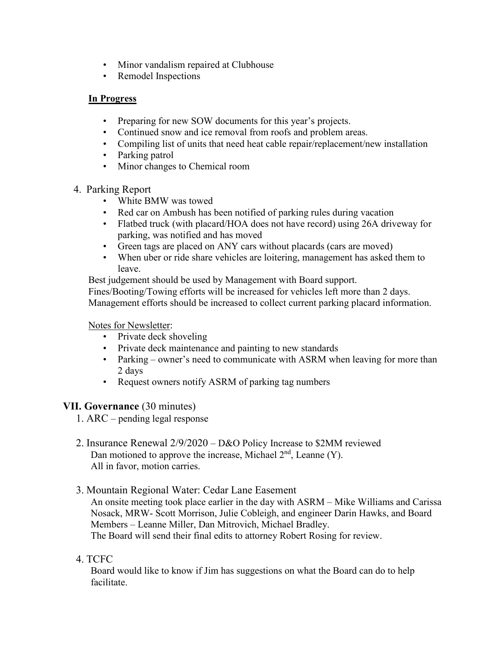- Minor vandalism repaired at Clubhouse
- Remodel Inspections

### **In Progress**

- Preparing for new SOW documents for this year's projects.
- Continued snow and ice removal from roofs and problem areas.
- Compiling list of units that need heat cable repair/replacement/new installation
- Parking patrol
- Minor changes to Chemical room

### 4. Parking Report

- White BMW was towed
- Red car on Ambush has been notified of parking rules during vacation
- Flatbed truck (with placard/HOA does not have record) using 26A driveway for parking, was notified and has moved
- Green tags are placed on ANY cars without placards (cars are moved)
- When uber or ride share vehicles are loitering, management has asked them to leave.

Best judgement should be used by Management with Board support.

Fines/Booting/Towing efforts will be increased for vehicles left more than 2 days. Management efforts should be increased to collect current parking placard information.

#### Notes for Newsletter:

- Private deck shoveling
- Private deck maintenance and painting to new standards
- Parking owner's need to communicate with ASRM when leaving for more than 2 days
- Request owners notify ASRM of parking tag numbers

# **VII. Governance** (30 minutes)

- 1. ARC pending legal response
- 2. Insurance Renewal 2/9/2020 D&O Policy Increase to \$2MM reviewed Dan motioned to approve the increase, Michael  $2<sup>nd</sup>$ , Leanne (Y). All in favor, motion carries.

# 3. Mountain Regional Water: Cedar Lane Easement

An onsite meeting took place earlier in the day with ASRM – Mike Williams and Carissa Nosack, MRW- Scott Morrison, Julie Cobleigh, and engineer Darin Hawks, and Board Members – Leanne Miller, Dan Mitrovich, Michael Bradley. The Board will send their final edits to attorney Robert Rosing for review.

# 4. TCFC

Board would like to know if Jim has suggestions on what the Board can do to help facilitate.